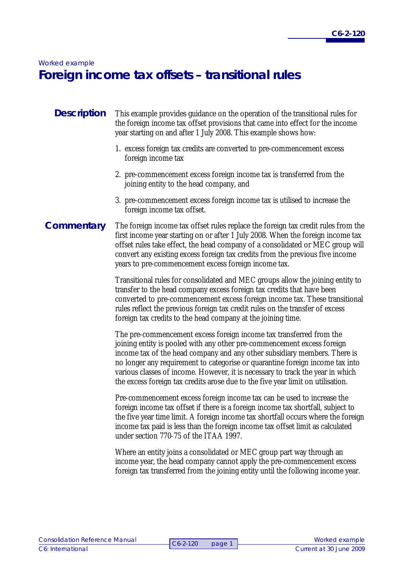# *Worked example*  **Foreign income tax offsets – transitional rules**

#### This example provides guidance on the operation of the transitional rules for the foreign income tax offset provisions that came into effect for the income year starting on and after 1 July 2008. This example shows how: **Description**

- 1. excess foreign tax credits are converted to pre-commencement excess foreign income tax
- 2. pre-commencement excess foreign income tax is transferred from the joining entity to the head company, and
- 3. pre-commencement excess foreign income tax is utilised to increase the foreign income tax offset.

## **Commentary**

The foreign income tax offset rules replace the foreign tax credit rules from the first income year starting on or after 1 July 2008. When the foreign income tax offset rules take effect, the head company of a consolidated or MEC group will convert any existing excess foreign tax credits from the previous five income years to pre-commencement excess foreign income tax.

Transitional rules for consolidated and MEC groups allow the joining entity to transfer to the head company excess foreign tax credits that have been converted to pre-commencement excess foreign income tax. These transitional rules reflect the previous foreign tax credit rules on the transfer of excess foreign tax credits to the head company at the joining time.

The pre-commencement excess foreign income tax transferred from the joining entity is pooled with any other pre-commencement excess foreign income tax of the head company and any other subsidiary members. There is no longer any requirement to categorise or quarantine foreign income tax into various classes of income. However, it is necessary to track the year in which the excess foreign tax credits arose due to the five year limit on utilisation.

Pre-commencement excess foreign income tax can be used to increase the foreign income tax offset if there is a foreign income tax shortfall, subject to the five year time limit. A foreign income tax shortfall occurs where the foreign income tax paid is less than the foreign income tax offset limit as calculated under section 770-75 of the ITAA 1997.

Where an entity joins a consolidated or MEC group part way through an income year, the head company cannot apply the pre-commencement excess foreign tax transferred from the joining entity until the following income year.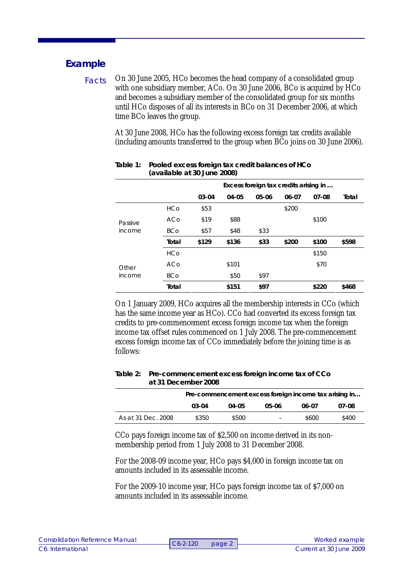### **Example**

On 30 June 2005, HCo becomes the head company of a consolidated group with one subsidiary member, ACo. On 30 June 2006, BCo is acquired by HCo and becomes a subsidiary member of the consolidated group for six months until HCo disposes of all its interests in BCo on 31 December 2006, at which time BCo leaves the group. Facts

> At 30 June 2008, HCo has the following excess foreign tax credits available (including amounts transferred to the group when BCo joins on 30 June 2006).

|                 |            | Excess foreign tax credits arising in |       |           |       |           |       |
|-----------------|------------|---------------------------------------|-------|-----------|-------|-----------|-------|
|                 |            | 03-04                                 | 04-05 | $05 - 06$ | 06-07 | $07 - 08$ | Total |
|                 | <b>HCo</b> | \$53                                  |       |           | \$200 |           |       |
| Passive         | ACo        | \$19                                  | \$88  |           |       | \$100     |       |
| income          | <b>BCo</b> | \$57                                  | \$48  | \$33      |       |           |       |
|                 | Total      | \$129                                 | \$136 | \$33      | \$200 | \$100     | \$598 |
| Other<br>income | HCo        |                                       |       |           |       | \$150     |       |
|                 | ACo        |                                       | \$101 |           |       | \$70      |       |
|                 | <b>BCo</b> |                                       | \$50  | \$97      |       |           |       |
|                 | Total      |                                       | \$151 | \$97      |       | \$220     | \$468 |

### **Table 1: Pooled excess foreign tax credit balances of HCo (available at 30 June 2008)**

On 1 January 2009, HCo acquires all the membership interests in CCo (which has the same income year as HCo). CCo had converted its excess foreign tax credits to pre-commencement excess foreign income tax when the foreign income tax offset rules commenced on 1 July 2008. The pre-commencement excess foreign income tax of CCo immediately before the joining time is as follows:

#### **Table 2: Pre-commencement excess foreign income tax of CCo at 31 December 2008**

|                    | Pre-commencement excess foreign income tax arising in |       |                          |       |       |  |
|--------------------|-------------------------------------------------------|-------|--------------------------|-------|-------|--|
|                    | 03-04                                                 | 04-05 | 05-06                    | 06-07 | 07-08 |  |
| As at 31 Dec. 2008 | \$350                                                 | \$500 | $\overline{\phantom{0}}$ | \$600 | \$400 |  |

CCo pays foreign income tax of \$2,500 on income derived in its nonmembership period from 1 July 2008 to 31 December 2008.

For the 2008-09 income year, HCo pays \$4,000 in foreign income tax on amounts included in its assessable income.

For the 2009-10 income year, HCo pays foreign income tax of \$7,000 on amounts included in its assessable income.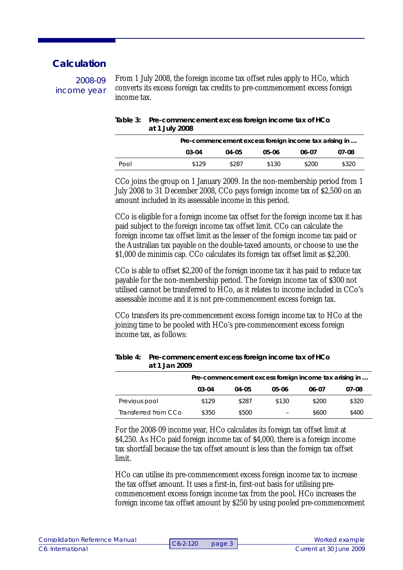### **Calculation**

2008-09 income year

From 1 July 2008, the foreign income tax offset rules apply to HCo, which converts its excess foreign tax credits to pre-commencement excess foreign income tax.

| Table 3: Pre-commencement excess foreign income tax of HCo |
|------------------------------------------------------------|
| at 1 July 2008                                             |

|      | Pre-commencement excess foreign income tax arising in |           |       |       |       |  |
|------|-------------------------------------------------------|-----------|-------|-------|-------|--|
|      | 03-04                                                 | $04 - 05$ | 05-06 | 06-07 | 07-08 |  |
| Pool | \$129                                                 | \$287     | \$130 | \$200 | \$320 |  |

CCo joins the group on 1 January 2009. In the non-membership period from 1 July 2008 to 31 December 2008, CCo pays foreign income tax of \$2,500 on an amount included in its assessable income in this period.

CCo is eligible for a foreign income tax offset for the foreign income tax it has paid subject to the foreign income tax offset limit. CCo can calculate the foreign income tax offset limit as the lesser of the foreign income tax paid or the Australian tax payable on the double-taxed amounts, or choose to use the \$1,000 de minimis cap. CCo calculates its foreign tax offset limit as \$2,200.

CCo is able to offset \$2,200 of the foreign income tax it has paid to reduce tax payable for the non-membership period. The foreign income tax of \$300 not utilised cannot be transferred to HCo, as it relates to income included in CCo's assessable income and it is not pre-commencement excess foreign tax.

CCo transfers its pre-commencement excess foreign income tax to HCo at the joining time to be pooled with HCo's pre-commencement excess foreign income tax, as follows:

|                      | Pre-commencement excess foreign income tax arising in |       |       |       |       |  |
|----------------------|-------------------------------------------------------|-------|-------|-------|-------|--|
|                      | $03 - 04$                                             | 04-05 | 05-06 | 06-07 | 07-08 |  |
| Previous pool        | \$129                                                 | \$287 | \$130 | \$200 | \$320 |  |
| Transferred from CCo | \$350                                                 | \$500 |       | \$600 | \$400 |  |

#### **Table 4: Pre-commencement excess foreign income tax of HCo at 1 Jan 2009**

For the 2008-09 income year, HCo calculates its foreign tax offset limit at \$4,250. As HCo paid foreign income tax of \$4,000, there is a foreign income tax shortfall because the tax offset amount is less than the foreign tax offset limit.

HCo can utilise its pre-commencement excess foreign income tax to increase the tax offset amount. It uses a first-in, first-out basis for utilising precommencement excess foreign income tax from the pool. HCo increases the foreign income tax offset amount by \$250 by using pooled pre-commencement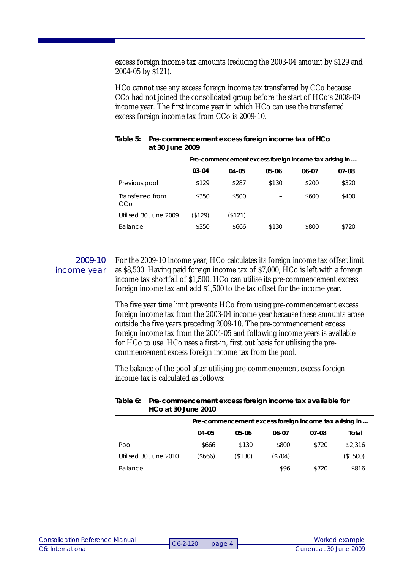excess foreign income tax amounts (reducing the 2003-04 amount by \$129 and 2004-05 by \$121).

HCo cannot use any excess foreign income tax transferred by CCo because CCo had not joined the consolidated group before the start of HCo's 2008-09 income year. The first income year in which HCo can use the transferred excess foreign income tax from CCo is 2009-10.

|                         | Pre-commencement excess foreign income tax arising in |         |       |       |       |  |
|-------------------------|-------------------------------------------------------|---------|-------|-------|-------|--|
|                         | $03 - 04$                                             | 04-05   | 05-06 | 06-07 | 07-08 |  |
| Previous pool           | \$129                                                 | \$287   | \$130 | \$200 | \$320 |  |
| Transferred from<br>CCo | \$350                                                 | \$500   |       | \$600 | \$400 |  |
| Utilised 30 June 2009   | (\$129)                                               | (\$121) |       |       |       |  |
| <b>Balance</b>          | \$350                                                 | \$666   | \$130 | \$800 | \$720 |  |

| Table 5: Pre-commencement excess foreign income tax of HCo |
|------------------------------------------------------------|
| at 30 June 2009                                            |

### 2009-10 income year

For the 2009-10 income year, HCo calculates its foreign income tax offset limit as \$8,500. Having paid foreign income tax of \$7,000, HCo is left with a foreign income tax shortfall of \$1,500. HCo can utilise its pre-commencement excess foreign income tax and add \$1,500 to the tax offset for the income year.

The five year time limit prevents HCo from using pre-commencement excess foreign income tax from the 2003-04 income year because these amounts arose outside the five years preceding 2009-10. The pre-commencement excess foreign income tax from the 2004-05 and following income years is available for HCo to use. HCo uses a first-in, first out basis for utilising the precommencement excess foreign income tax from the pool.

The balance of the pool after utilising pre-commencement excess foreign income tax is calculated as follows:

| <b>HCo at 30 June 2010</b> |         |                                                       |         |       |          |
|----------------------------|---------|-------------------------------------------------------|---------|-------|----------|
|                            |         | Pre-commencement excess foreign income tax arising in |         |       |          |
|                            | 04-05   | 05-06                                                 | 06-07   | 07-08 | Total    |
| Pool                       | \$666   | \$130                                                 | \$800   | \$720 | \$2,316  |
| Utilised 30 June 2010      | (\$666) | (\$130)                                               | (\$704) |       | (\$1500) |
| <b>Balance</b>             |         |                                                       | \$96    | \$720 | \$816    |

#### **Table 6: Pre-commencement excess foreign income tax available for HCo at 30 June 2010**